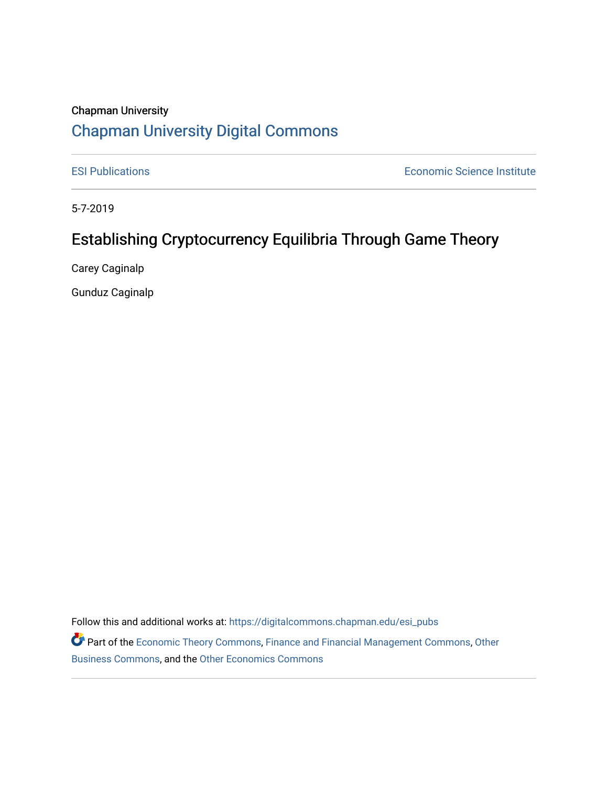# Chapman University [Chapman University Digital Commons](https://digitalcommons.chapman.edu/)

[ESI Publications](https://digitalcommons.chapman.edu/esi_pubs) [Economic Science Institute](https://digitalcommons.chapman.edu/esi) 

5-7-2019

# Establishing Cryptocurrency Equilibria Through Game Theory

Carey Caginalp

Gunduz Caginalp

Follow this and additional works at: [https://digitalcommons.chapman.edu/esi\\_pubs](https://digitalcommons.chapman.edu/esi_pubs?utm_source=digitalcommons.chapman.edu%2Fesi_pubs%2F243&utm_medium=PDF&utm_campaign=PDFCoverPages) 

Part of the [Economic Theory Commons](http://network.bepress.com/hgg/discipline/344?utm_source=digitalcommons.chapman.edu%2Fesi_pubs%2F243&utm_medium=PDF&utm_campaign=PDFCoverPages), [Finance and Financial Management Commons](http://network.bepress.com/hgg/discipline/631?utm_source=digitalcommons.chapman.edu%2Fesi_pubs%2F243&utm_medium=PDF&utm_campaign=PDFCoverPages), [Other](http://network.bepress.com/hgg/discipline/647?utm_source=digitalcommons.chapman.edu%2Fesi_pubs%2F243&utm_medium=PDF&utm_campaign=PDFCoverPages)  [Business Commons](http://network.bepress.com/hgg/discipline/647?utm_source=digitalcommons.chapman.edu%2Fesi_pubs%2F243&utm_medium=PDF&utm_campaign=PDFCoverPages), and the [Other Economics Commons](http://network.bepress.com/hgg/discipline/353?utm_source=digitalcommons.chapman.edu%2Fesi_pubs%2F243&utm_medium=PDF&utm_campaign=PDFCoverPages)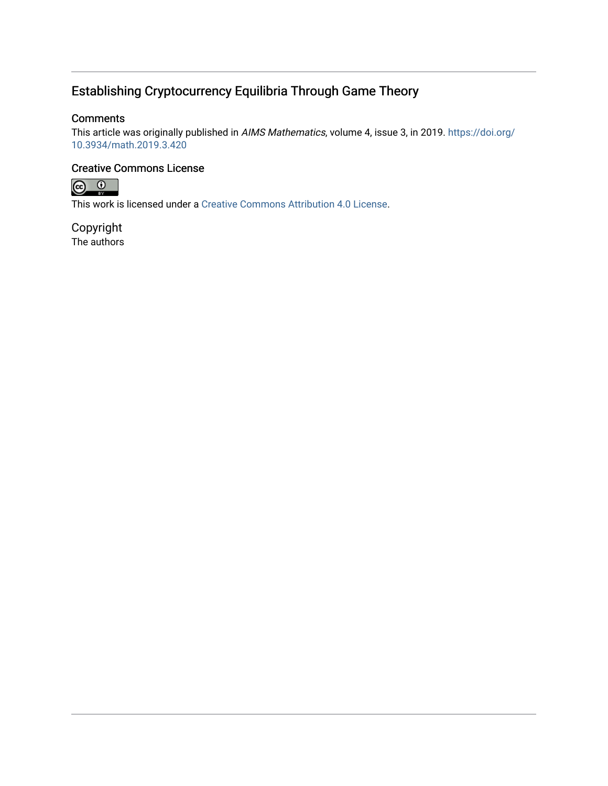# Establishing Cryptocurrency Equilibria Through Game Theory

## **Comments**

This article was originally published in AIMS Mathematics, volume 4, issue 3, in 2019. [https://doi.org/](https://doi.org/10.3934/math.2019.3.420) [10.3934/math.2019.3.420](https://doi.org/10.3934/math.2019.3.420)

## Creative Commons License



This work is licensed under a [Creative Commons Attribution 4.0 License](https://creativecommons.org/licenses/by/4.0/).

Copyright The authors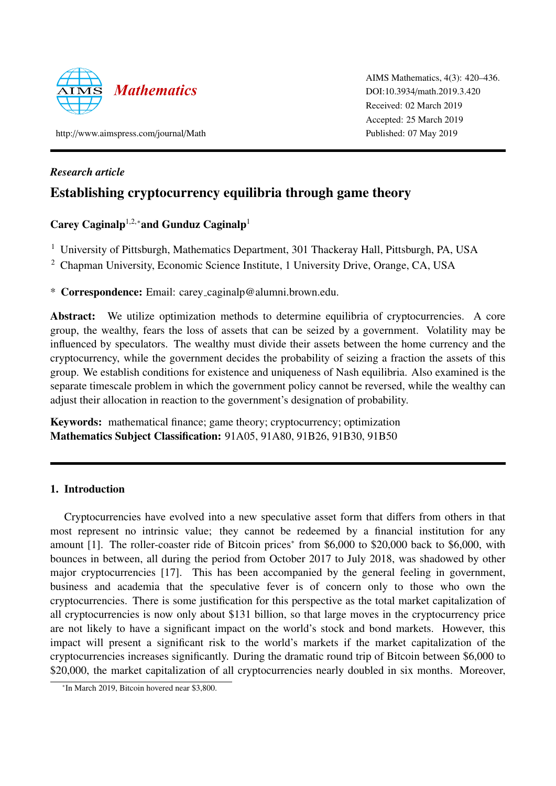

AIMS Mathematics, 4(3): 420–436. DOI:10.3934/[math.2019.3.420](http://dx.doi.org/10.3934/math.2019.3.420) Received: 02 March 2019 Accepted: 25 March 2019 Published: 07 May 2019

http://[www.aimspress.com](http://www.aimspress.com/journal/Math)/journal/Math

*Research article*

# Establishing cryptocurrency equilibria through game theory

# Carey Caginalp<sup>1,2,∗</sup>and Gunduz Caginalp<sup>1</sup>

<sup>1</sup> University of Pittsburgh, Mathematics Department, 301 Thackeray Hall, Pittsburgh, PA, USA

<sup>2</sup> Chapman University, Economic Science Institute, 1 University Drive, Orange, CA, USA

\* Correspondence: Email: carey caginalp@alumni.brown.edu.

Abstract: We utilize optimization methods to determine equilibria of cryptocurrencies. A core group, the wealthy, fears the loss of assets that can be seized by a government. Volatility may be influenced by speculators. The wealthy must divide their assets between the home currency and the cryptocurrency, while the government decides the probability of seizing a fraction the assets of this group. We establish conditions for existence and uniqueness of Nash equilibria. Also examined is the separate timescale problem in which the government policy cannot be reversed, while the wealthy can adjust their allocation in reaction to the government's designation of probability.

Keywords: mathematical finance; game theory; cryptocurrency; optimization Mathematics Subject Classification: 91A05, 91A80, 91B26, 91B30, 91B50

## 1. Introduction

Cryptocurrencies have evolved into a new speculative asset form that differs from others in that most represent no intrinsic value; they cannot be redeemed by a financial institution for any amount [\[1\]](#page-13-0). The roller-coaster ride of Bitcoin prices<sup>\*</sup> from \$6,000 to \$20,000 back to \$6,000, with bounces in between, all during the period from October 2017 to July 2018, was shadowed by other major cryptocurrencies [\[17\]](#page-14-0). This has been accompanied by the general feeling in government, business and academia that the speculative fever is of concern only to those who own the cryptocurrencies. There is some justification for this perspective as the total market capitalization of all cryptocurrencies is now only about \$131 billion, so that large moves in the cryptocurrency price are not likely to have a significant impact on the world's stock and bond markets. However, this impact will present a significant risk to the world's markets if the market capitalization of the cryptocurrencies increases significantly. During the dramatic round trip of Bitcoin between \$6,000 to \$20,000, the market capitalization of all cryptocurrencies nearly doubled in six months. Moreover,

<span id="page-2-0"></span><sup>∗</sup> In March 2019, Bitcoin hovered near \$3,800.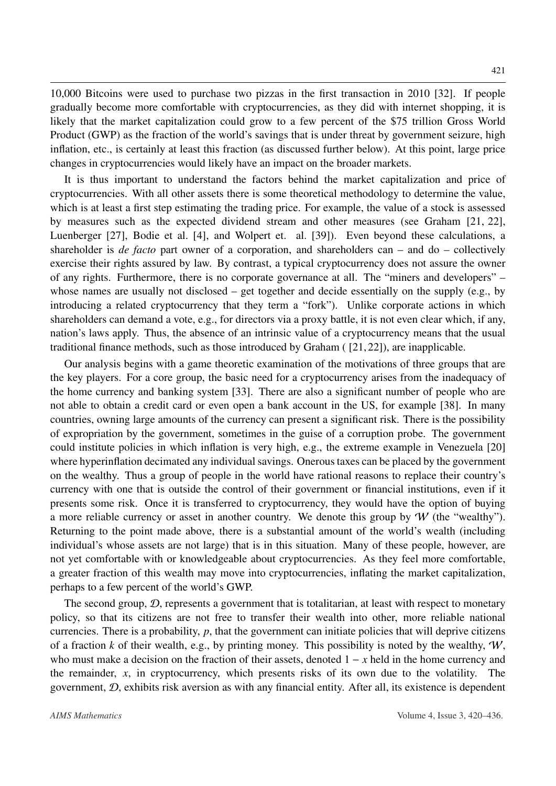10,000 Bitcoins were used to purchase two pizzas in the first transaction in 2010 [\[32\]](#page-14-1). If people gradually become more comfortable with cryptocurrencies, as they did with internet shopping, it is likely that the market capitalization could grow to a few percent of the \$75 trillion Gross World Product (GWP) as the fraction of the world's savings that is under threat by government seizure, high inflation, etc., is certainly at least this fraction (as discussed further below). At this point, large price changes in cryptocurrencies would likely have an impact on the broader markets.

It is thus important to understand the factors behind the market capitalization and price of cryptocurrencies. With all other assets there is some theoretical methodology to determine the value, which is at least a first step estimating the trading price. For example, the value of a stock is assessed by measures such as the expected dividend stream and other measures (see Graham [\[21,](#page-14-2) [22\]](#page-14-3), Luenberger [\[27\]](#page-14-4), Bodie et al. [\[4\]](#page-13-1), and Wolpert et. al. [\[39\]](#page-15-0)). Even beyond these calculations, a shareholder is *de facto* part owner of a corporation, and shareholders can – and do – collectively exercise their rights assured by law. By contrast, a typical cryptocurrency does not assure the owner of any rights. Furthermore, there is no corporate governance at all. The "miners and developers" – whose names are usually not disclosed – get together and decide essentially on the supply (e.g., by introducing a related cryptocurrency that they term a "fork"). Unlike corporate actions in which shareholders can demand a vote, e.g., for directors via a proxy battle, it is not even clear which, if any, nation's laws apply. Thus, the absence of an intrinsic value of a cryptocurrency means that the usual traditional finance methods, such as those introduced by Graham ( [\[21,](#page-14-2) [22\]](#page-14-3)), are inapplicable.

Our analysis begins with a game theoretic examination of the motivations of three groups that are the key players. For a core group, the basic need for a cryptocurrency arises from the inadequacy of the home currency and banking system [\[33\]](#page-14-5). There are also a significant number of people who are not able to obtain a credit card or even open a bank account in the US, for example [\[38\]](#page-15-1). In many countries, owning large amounts of the currency can present a significant risk. There is the possibility of expropriation by the government, sometimes in the guise of a corruption probe. The government could institute policies in which inflation is very high, e.g., the extreme example in Venezuela [\[20\]](#page-14-6) where hyperinflation decimated any individual savings. Onerous taxes can be placed by the government on the wealthy. Thus a group of people in the world have rational reasons to replace their country's currency with one that is outside the control of their government or financial institutions, even if it presents some risk. Once it is transferred to cryptocurrency, they would have the option of buying a more reliable currency or asset in another country. We denote this group by  $W$  (the "wealthy"). Returning to the point made above, there is a substantial amount of the world's wealth (including individual's whose assets are not large) that is in this situation. Many of these people, however, are not yet comfortable with or knowledgeable about cryptocurrencies. As they feel more comfortable, a greater fraction of this wealth may move into cryptocurrencies, inflating the market capitalization, perhaps to a few percent of the world's GWP.

The second group,  $D$ , represents a government that is totalitarian, at least with respect to monetary policy, so that its citizens are not free to transfer their wealth into other, more reliable national currencies. There is a probability, *<sup>p</sup>*, that the government can initiate policies that will deprive citizens of a fraction *k* of their wealth, e.g., by printing money. This possibility is noted by the wealthy,  $W$ , who must make a decision on the fraction of their assets, denoted 1 − *x* held in the home currency and the remainder, *x*, in cryptocurrency, which presents risks of its own due to the volatility. The government,  $D$ , exhibits risk aversion as with any financial entity. After all, its existence is dependent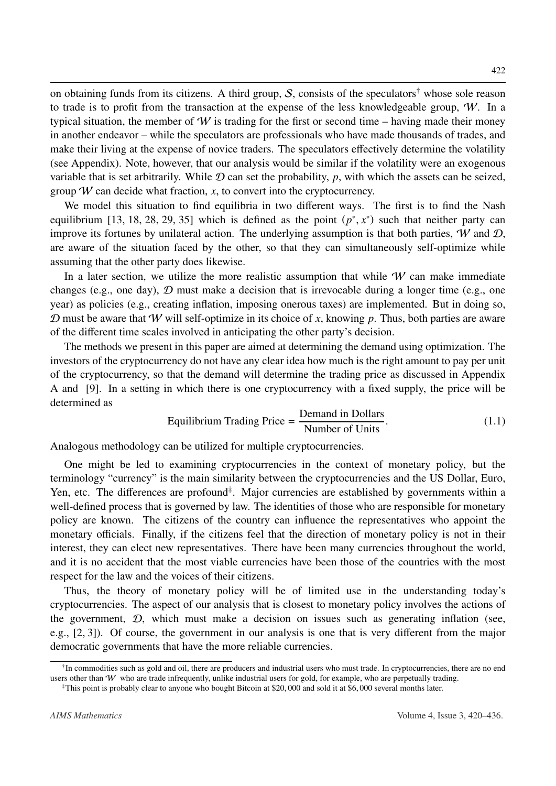on obtaining funds from its citizens. A third group, S, consists of the speculators<sup>[†](#page-4-0)</sup> whose sole reason to trade is to profit from the transaction at the expense of the less knowledgeable group,  $W$ . In a typical situation, the member of W is trading for the first or second time – having made their money in another endeavor – while the speculators are professionals who have made thousands of trades, and make their living at the expense of novice traders. The speculators effectively determine the volatility (see Appendix). Note, however, that our analysis would be similar if the volatility were an exogenous variable that is set arbitrarily. While  $D$  can set the probability,  $p$ , with which the assets can be seized, group  $W$  can decide what fraction,  $x$ , to convert into the cryptocurrency.

We model this situation to find equilibria in two different ways. The first is to find the Nash equilibrium [\[13,](#page-13-2) [18,](#page-14-7) [28,](#page-14-8) [29,](#page-14-9) [35\]](#page-15-2) which is defined as the point  $(p^*, x^*)$  such that neither party can<br>improve its fortunes by unilateral action. The underlying assumption is that both parties  $\mathcal{U}$  and  $\Omega$ improve its fortunes by unilateral action. The underlying assumption is that both parties,  $W$  and  $D$ , are aware of the situation faced by the other, so that they can simultaneously self-optimize while assuming that the other party does likewise.

In a later section, we utilize the more realistic assumption that while  $W$  can make immediate changes (e.g., one day),  $D$  must make a decision that is irrevocable during a longer time (e.g., one year) as policies (e.g., creating inflation, imposing onerous taxes) are implemented. But in doing so, D must be aware that W will self-optimize in its choice of *x*, knowing *p*. Thus, both parties are aware of the different time scales involved in anticipating the other party's decision.

The methods we present in this paper are aimed at determining the demand using optimization. The investors of the cryptocurrency do not have any clear idea how much is the right amount to pay per unit of the cryptocurrency, so that the demand will determine the trading price as discussed in Appendix A and [\[9\]](#page-13-3). In a setting in which there is one cryptocurrency with a fixed supply, the price will be determined as

<span id="page-4-2"></span>Equilibrium Trading Price = 
$$
\frac{\text{Demand in Dollars}}{\text{Number of Units}}.
$$
 (1.1)

Analogous methodology can be utilized for multiple cryptocurrencies.

One might be led to examining cryptocurrencies in the context of monetary policy, but the terminology "currency" is the main similarity between the cryptocurrencies and the US Dollar, Euro, Yen, etc. The differences are profound<sup>[‡](#page-4-1)</sup>. Major currencies are established by governments within a well-defined process that is governed by law. The identities of those who are responsible for monetary policy are known. The citizens of the country can influence the representatives who appoint the monetary officials. Finally, if the citizens feel that the direction of monetary policy is not in their interest, they can elect new representatives. There have been many currencies throughout the world, and it is no accident that the most viable currencies have been those of the countries with the most respect for the law and the voices of their citizens.

Thus, the theory of monetary policy will be of limited use in the understanding today's cryptocurrencies. The aspect of our analysis that is closest to monetary policy involves the actions of the government,  $D$ , which must make a decision on issues such as generating inflation (see, e.g., [\[2,](#page-13-4) [3\]](#page-13-5)). Of course, the government in our analysis is one that is very different from the major democratic governments that have the more reliable currencies.

<span id="page-4-0"></span><sup>&</sup>lt;sup>†</sup>In commodities such as gold and oil, there are producers and industrial users who must trade. In cryptocurrencies, there are no end users other than  $W$  who are trade infrequently, unlike industrial users for gold, for example, who are perpetually trading.

<span id="page-4-1"></span><sup>‡</sup>This point is probably clear to anyone who bought Bitcoin at \$20, 000 and sold it at \$6, 000 several months later.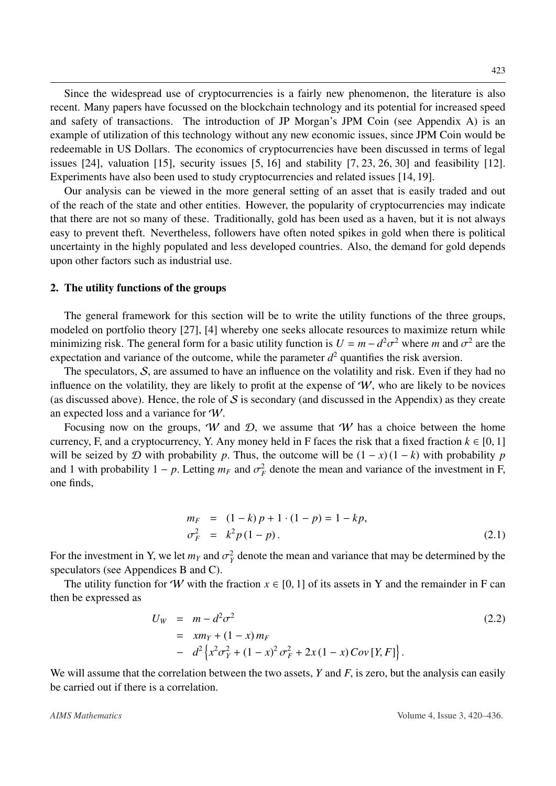423

Since the widespread use of cryptocurrencies is a fairly new phenomenon, the literature is also recent. Many papers have focussed on the blockchain technology and its potential for increased speed and safety of transactions. The introduction of JP Morgan's JPM Coin (see Appendix A) is an example of utilization of this technology without any new economic issues, since JPM Coin would be redeemable in US Dollars. The economics of cryptocurrencies have been discussed in terms of legal issues [\[24\]](#page-14-10), valuation [\[15\]](#page-13-6), security issues [\[5,](#page-13-7) [16\]](#page-14-11) and stability [\[7,](#page-13-8) [23,](#page-14-12) [26,](#page-14-13) [30\]](#page-14-14) and feasibility [\[12\]](#page-13-9). Experiments have also been used to study cryptocurrencies and related issues [\[14,](#page-13-10) [19\]](#page-14-15).

Our analysis can be viewed in the more general setting of an asset that is easily traded and out of the reach of the state and other entities. However, the popularity of cryptocurrencies may indicate that there are not so many of these. Traditionally, gold has been used as a haven, but it is not always easy to prevent theft. Nevertheless, followers have often noted spikes in gold when there is political uncertainty in the highly populated and less developed countries. Also, the demand for gold depends upon other factors such as industrial use.

#### 2. The utility functions of the groups

The general framework for this section will be to write the utility functions of the three groups, modeled on portfolio theory [\[27\]](#page-14-4), [\[4\]](#page-13-1) whereby one seeks allocate resources to maximize return while minimizing risk. The general form for a basic utility function is  $U = m - d^2 \sigma^2$  where *m* and  $\sigma^2$  are the expectation and variance of the outcome, while the parameter  $d^2$  quantifies the risk aversion expectation and variance of the outcome, while the parameter  $d^2$  quantifies the risk aversion.

The speculators, S, are assumed to have an influence on the volatility and risk. Even if they had no influence on the volatility, they are likely to profit at the expense of  $W$ , who are likely to be novices (as discussed above). Hence, the role of  $S$  is secondary (and discussed in the Appendix) as they create an expected loss and a variance for W.

Focusing now on the groups, W and  $D$ , we assume that W has a choice between the home currency, F, and a cryptocurrency, Y. Any money held in F faces the risk that a fixed fraction  $k \in [0, 1]$ will be seized by  $D$  with probability  $p$ . Thus, the outcome will be  $(1 - x)(1 - k)$  with probability  $p$ and 1 with probability  $1 - p$ . Letting  $m_F$  and  $\sigma_F^2$  denote the mean and variance of the investment in F, one finds,

<span id="page-5-0"></span>
$$
m_F = (1 - k) p + 1 \cdot (1 - p) = 1 - kp,
$$
  
\n
$$
\sigma_F^2 = k^2 p (1 - p).
$$
\n(2.1)

For the investment in Y, we let  $m_Y$  and  $\sigma_Y^2$  denote the mean and variance that may be determined by the speculators (see Appendices B and C) speculators (see Appendices B and C).

The utility function for W with the fraction  $x \in [0, 1]$  of its assets in Y and the remainder in F can then be expressed as

<span id="page-5-1"></span>
$$
U_W = m - d^2 \sigma^2
$$
  
=  $xm_Y + (1 - x) m_F$   
=  $d^2 \left\{ x^2 \sigma_Y^2 + (1 - x)^2 \sigma_F^2 + 2x (1 - x) Cov[Y, F] \right\}.$  (2.2)

We will assume that the correlation between the two assets, *Y* and *F*, is zero, but the analysis can easily be carried out if there is a correlation.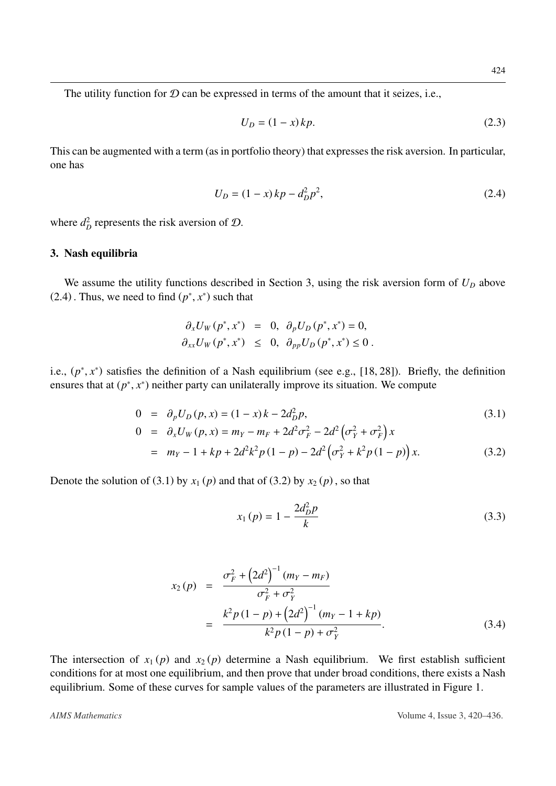The utility function for  $D$  can be expressed in terms of the amount that it seizes, i.e.,

$$
U_D = (1 - x) k p.
$$
 (2.3)

This can be augmented with a term (as in portfolio theory) that expresses the risk aversion. In particular, one has

<span id="page-6-0"></span>
$$
U_D = (1 - x)kp - d_D^2p^2,
$$
\n(2.4)

where  $d_D^2$  represents the risk aversion of  $D$ .

#### 3. Nash equilibria

We assume the utility functions described in Section 3, using the risk aversion form of  $U_D$  above (2.[4\)](#page-6-0). Thus, we need to find  $(p^*, x^*)$  such that

$$
\begin{aligned}\n\partial_x U_W(p^*, x^*) &= 0, & \partial_p U_D(p^*, x^*) &= 0, \\
\partial_{xx} U_W(p^*, x^*) &\leq 0, & \partial_{pp} U_D(p^*, x^*) &\leq 0.\n\end{aligned}
$$

i.e.,  $(p^*, x^*)$  satisfies the definition of a Nash equilibrium (see e.g., [\[18,](#page-14-7) [28\]](#page-14-8)). Briefly, the definition approximately improve its situation. We compute ensures that at  $(p^*, x^*)$  neither party can unilaterally improve its situation. We compute

$$
0 = \partial_p U_D(p, x) = (1 - x)k - 2d_D^2 p,
$$
\n(3.1)

<span id="page-6-1"></span>
$$
0 = \partial_x U_W(p, x) = m_Y - m_F + 2d^2 \sigma_F^2 - 2d^2 (\sigma_Y^2 + \sigma_F^2) x
$$

$$
= m_Y - 1 + kp + 2d^2k^2p(1-p) - 2d^2(\sigma_Y^2 + k^2p(1-p))x.
$$
 (3.2)

Denote the solution of [\(3](#page-6-1).1) by  $x_1(p)$  and that of (3.[2\)](#page-6-1) by  $x_2(p)$ , so that

$$
x_1(p) = 1 - \frac{2d_D^2 p}{k} \tag{3.3}
$$

$$
x_2(p) = \frac{\sigma_F^2 + (2d^2)^{-1} (m_Y - m_F)}{\sigma_F^2 + \sigma_Y^2}
$$
  
= 
$$
\frac{k^2 p (1 - p) + (2d^2)^{-1} (m_Y - 1 + kp)}{k^2 p (1 - p) + \sigma_Y^2}.
$$
 (3.4)

The intersection of  $x_1(p)$  and  $x_2(p)$  determine a Nash equilibrium. We first establish sufficient conditions for at most one equilibrium, and then prove that under broad conditions, there exists a Nash equilibrium. Some of these curves for sample values of the parameters are illustrated in Figure [1.](#page-7-0)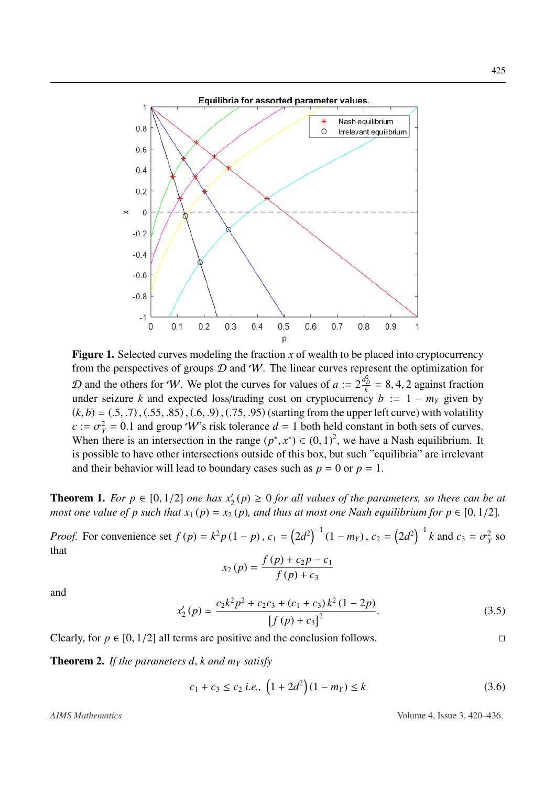<span id="page-7-0"></span>

Figure 1. Selected curves modeling the fraction *x* of wealth to be placed into cryptocurrency from the perspectives of groups  $D$  and  $W$ . The linear curves represent the optimization for D and the others for W. We plot the curves for values of  $a := 2\frac{d_p^2}{k} = 8, 4, 2$  against fraction<br>under seizure k and expected loss/trading cost on cryptocurrency  $h := 1 - m_0$  given by under seizure *k* and expected loss/trading cost on cryptocurrency  $b := 1 - m<sub>Y</sub>$  given by  $(k, b) = (0.5, 0.7), (0.55, 0.85), (0.6, 0.9), (0.75, 0.95)$  (starting from the upper left curve) with volatility  $c := \sigma_Y^2 = 0.1$  and group *W*'s risk tolerance  $d = 1$  both held constant in both sets of curves.<br>When there is an intersection in the range  $(\sigma^*, x^*) \in (0, 1)^2$  we have a Nash equilibrium. When there is an intersection in the range  $(p^*, x^*) \in (0, 1)^2$ , we have a Nash equilibrium. It<br>is possible to have other intersections outside of this box, but such "equilibria" are irrelayant is possible to have other intersections outside of this box, but such "equilibria" are irrelevant and their behavior will lead to boundary cases such as  $p = 0$  or  $p = 1$ .

**Theorem 1.** *For p*  $\in$  [0, 1/2] *one has*  $x_2'(p) \ge 0$  *for all values of the parameters, so there can be at* most one value of p such that  $x_1(p) = x_2(p)$  and thus at most one Nash equilibrium for p  $\in$  [0, 1/2] *most one value of p such that*  $x_1(p) = x_2(p)$ *, and thus at most one Nash equilibrium for*  $p \in [0, 1/2]$ *.* 

*Proof.* For convenience set  $f(p) = k^2 p (1 - p)$ ,  $c_1 = (2d^2)^{-1} (1 - m_Y)$ ,  $c_2 = (2d^2)^{-1} k$  and  $c_3 = \sigma_Y^2$  so that

$$
x_2(p) = \frac{f(p) + c_2p - c_1}{f(p) + c_3}
$$

and

<span id="page-7-1"></span>
$$
x_2'(p) = \frac{c_2 k^2 p^2 + c_2 c_3 + (c_1 + c_3) k^2 (1 - 2p)}{[f(p) + c_3]^2}.
$$
 (3.5)

Clearly, for *p* ∈ [0, 1/2] all terms are positive and the conclusion follows.  $\Box$ 

Theorem 2. *If the parameters d*, *k and m<sup>Y</sup> satisfy*

<span id="page-7-2"></span>
$$
c_1 + c_3 \le c_2 \text{ i.e., } \left(1 + 2d^2\right)(1 - m_Y) \le k \tag{3.6}
$$

*AIMS Mathematics* Volume 4, Issue 3, 420–436.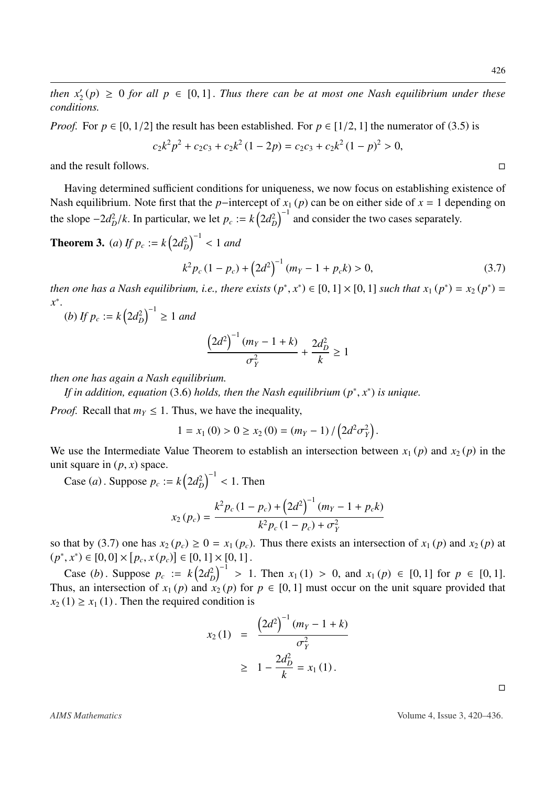*then*  $x_2'(p) \ge 0$  *for all*  $p \in [0, 1]$ . *Thus there can be at most one Nash equilibrium under these*<br>conditions *conditions.*

*Proof.* For  $p \in [0, 1/2]$  the result has been established. For  $p \in [1/2, 1]$  the numerator of (3.[5\)](#page-7-1) is

$$
c_2k^2p^2 + c_2c_3 + c_2k^2(1-2p) = c_2c_3 + c_2k^2(1-p)^2 > 0,
$$

and the result follows.

Having determined sufficient conditions for uniqueness, we now focus on establishing existence of Nash equilibrium. Note first that the *p*−intercept of  $x_1$  (*p*) can be on either side of  $x = 1$  depending on the slope  $-2d_D^2/k$ . In particular, we let  $p_c := k(2d_D^2)^{-1}$  and consider the two cases separately.

**Theorem 3.** *(a) If*  $p_c := k \left( 2d_D^2 \right)^{-1} < 1$  *and* 

<span id="page-8-0"></span>
$$
k^2 p_c (1 - p_c) + (2d^2)^{-1} (m_Y - 1 + p_c k) > 0,
$$
\n(3.7)

*then one has a Nash equilibrium, i.e., there exists*  $(p^*, x^*) \in [0, 1] \times [0, 1]$  *such that*  $x_1(p^*) = x_2(p^*) = x^*$ *x* ∗

(b) If 
$$
p_c := k \left( 2d_D^2 \right)^{-1} \ge 1
$$
 and

$$
\frac{\left(2d^2\right)^{-1}(m_Y - 1 + k)}{\sigma_Y^2} + \frac{2d_D^2}{k} \ge 1
$$

*then one has again a Nash equilibrium.*

*If in addition, equation* [\(3](#page-7-2).6) *holds, then the Nash equilibrium* ( $p^*$ ,  $x^*$ ) *is unique.* 

*Proof.* Recall that  $m<sub>Y</sub> \le 1$ . Thus, we have the inequality,

$$
1 = x_1(0) > 0 \ge x_2(0) = (m_Y - 1) / (2d^2 \sigma_Y^2).
$$

We use the Intermediate Value Theorem to establish an intersection between  $x_1(p)$  and  $x_2(p)$  in the unit square in  $(p, x)$  space.

Case *(a)*. Suppose  $p_c := k \left( 2d_D^2 \right)^{-1} < 1$ . Then

$$
x_2(p_c) = \frac{k^2 p_c (1 - p_c) + (2d^2)^{-1} (m_Y - 1 + p_c k)}{k^2 p_c (1 - p_c) + \sigma_Y^2}
$$

so that by (3.[7\)](#page-8-0) one has  $x_2(p_c) \ge 0 = x_1(p_c)$ . Thus there exists an intersection of  $x_1(p)$  and  $x_2(p)$  at  $(x^*, x^*) \in [0, 0] \times [n, x(n)] \in [0, 1] \times [0, 1]$  $(p^*, x^*) \in [0, 0] \times [p_c, x(p_c)] \in [0, 1] \times [0, 1].$ 

Case (*b*). Suppose  $p_c := k(2d_D^2)^{-1} > 1$ . Then  $x_1(1) > 0$ , and  $x_1(p) \in [0, 1]$  for  $p \in [0, 1]$ . Thus, an intersection of  $x_1(p)$  and  $x_2(p)$  for  $p \in [0, 1]$  must occur on the unit square provided that  $x_2(1) \ge x_1(1)$ . Then the required condition is

$$
x_2(1) = \frac{\left(2d^2\right)^{-1}(m_Y - 1 + k)}{\sigma_Y^2}
$$
  
 
$$
\geq 1 - \frac{2d_D^2}{k} = x_1(1).
$$

 $\Box$ 

*AIMS Mathematics* Volume 4, Issue 3, 420–436.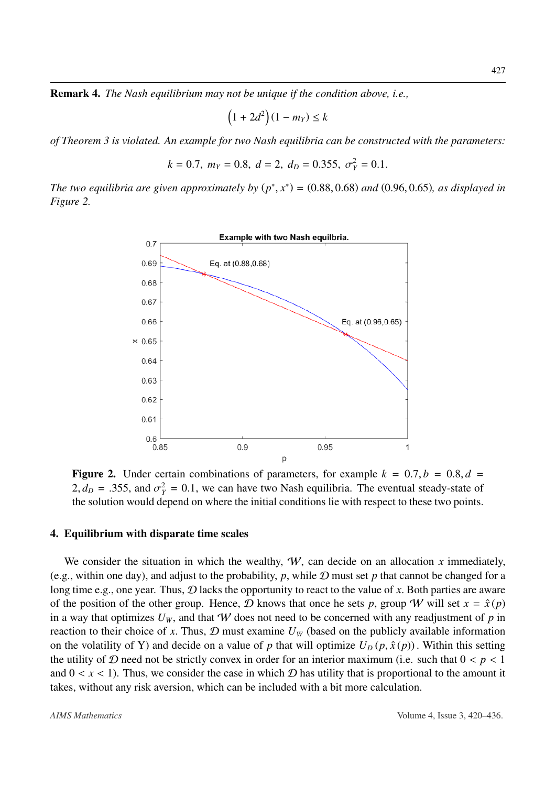Remark 4. *The Nash equilibrium may not be unique if the condition above, i.e.,*

$$
(1+2d^2)(1-m_Y) \le k
$$

*of Theorem [3](#page-8-0) is violated. An example for two Nash equilibria can be constructed with the parameters:*

$$
k = 0.7
$$
,  $m_Y = 0.8$ ,  $d = 2$ ,  $d_D = 0.355$ ,  $\sigma_Y^2 = 0.1$ .

<span id="page-9-0"></span>*The two equilibria are given approximately by*  $(p^*, x^*) = (0.88, 0.68)$  *and*  $(0.96, 0.65)$ *, as displayed in*<br>Figure 2 *Figure [2.](#page-9-0)*



**Figure 2.** Under certain combinations of parameters, for example  $k = 0.7$ ,  $b = 0.8$ ,  $d =$  $2, d<sub>D</sub> = .355$ , and  $\sigma<sub>Y</sub><sup>2</sup> = 0.1$ , we can have two Nash equilibria. The eventual steady-state of the solution would depend on where the initial conditions lie with respect to these two points the solution would depend on where the initial conditions lie with respect to these two points.

#### 4. Equilibrium with disparate time scales

We consider the situation in which the wealthy,  $W$ , can decide on an allocation x immediately, (e.g., within one day), and adjust to the probability, *<sup>p</sup>*, while <sup>D</sup> must set *<sup>p</sup>* that cannot be changed for a long time e.g., one year. Thus,  $D$  lacks the opportunity to react to the value of x. Both parties are aware of the position of the other group. Hence,  $D$  knows that once he sets p, group W will set  $x = \hat{x}(p)$ in a way that optimizes  $U_W$ , and that W does not need to be concerned with any readjustment of p in reaction to their choice of x. Thus,  $D$  must examine  $U_W$  (based on the publicly available information on the volatility of Y) and decide on a value of *p* that will optimize  $U_D(p, \hat{x}(p))$ . Within this setting the utility of D need not be strictly convex in order for an interior maximum (i.e. such that  $0 < p < 1$ and  $0 < x < 1$ ). Thus, we consider the case in which  $D$  has utility that is proportional to the amount it takes, without any risk aversion, which can be included with a bit more calculation.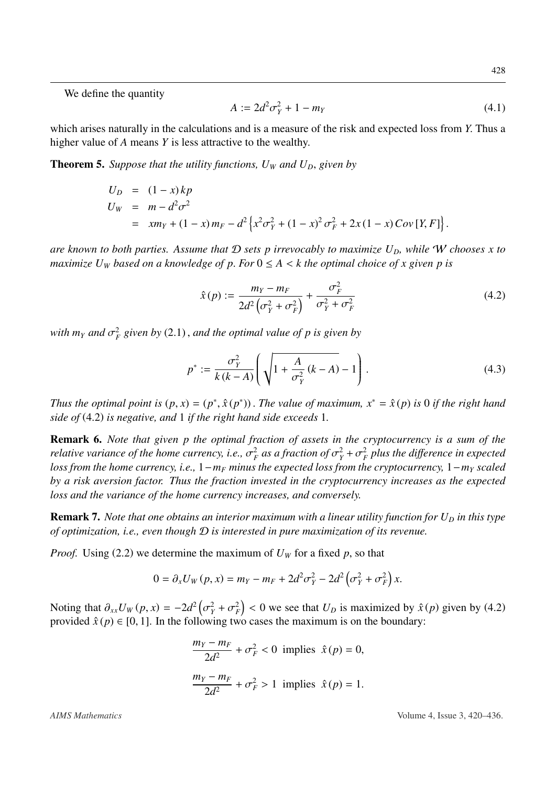We define the quantity

<span id="page-10-1"></span>
$$
A := 2d^2 \sigma_Y^2 + 1 - m_Y \tag{4.1}
$$

which arises naturally in the calculations and is a measure of the risk and expected loss from *<sup>Y</sup>*. Thus a higher value of *A* means *Y* is less attractive to the wealthy.

**Theorem 5.** Suppose that the utility functions,  $U_W$  and  $U_D$ , given by

$$
U_D = (1 - x)kp
$$
  
\n
$$
U_W = m - d^2 \sigma^2
$$
  
\n
$$
= xm_Y + (1 - x)m_F - d^2 \left\{ x^2 \sigma_Y^2 + (1 - x)^2 \sigma_F^2 + 2x(1 - x)Cov[Y, F] \right\}.
$$

*are known to both parties. Assume that* D *sets p irrevocably to maximize UD, while* W *chooses x to maximize U<sub>W</sub> based on a knowledge of p. For*  $0 \leq A \leq k$  *the optimal choice of x given p is* 

<span id="page-10-0"></span>
$$
\hat{x}(p) := \frac{m_Y - m_F}{2d^2 \left(\sigma_Y^2 + \sigma_F^2\right)} + \frac{\sigma_F^2}{\sigma_Y^2 + \sigma_F^2}
$$
\n(4.2)

with  $m_Y$  and  $\sigma_F^2$  given by (2.[1\)](#page-5-0), and the optimal value of p is given by

$$
p^* := \frac{\sigma_Y^2}{k(k-A)} \left( \sqrt{1 + \frac{A}{\sigma_Y^2} (k-A)} - 1 \right). \tag{4.3}
$$

*Thus the optimal point is*  $(p, x) = (p^*, \hat{x}(p^*))$ . *The value of maximum,*  $x^* = \hat{x}(p)$  *is* 0 *if the right hand side of*  $(4, 2)$  *is negative, and 1 if the right hand side exceeds 1 side of* [\(4](#page-10-0).2) *is negative, and* <sup>1</sup> *if the right hand side exceeds* <sup>1</sup>*.*

Remark 6. *Note that given p the optimal fraction of assets in the cryptocurrency is a sum of the relative variance of the home currency, i.e.,*  $\sigma_F^2$  *as a fraction of*  $\sigma_Y^2 + \sigma_F^2$  *plus the difference in expected*<br>loss from the home currency, i.e., 1 – m – minus the expected loss from the cryptocurrency, 1 – m *loss from the home currency, i.e.,* 1−*m<sup>F</sup> minus the expected loss from the cryptocurrency,* 1−*m<sup>Y</sup> scaled by a risk aversion factor. Thus the fraction invested in the cryptocurrency increases as the expected loss and the variance of the home currency increases, and conversely.*

Remark 7. *Note that one obtains an interior maximum with a linear utility function for*  $U_D$  *in this type of optimization, i.e., even though* D *is interested in pure maximization of its revenue.*

*Proof.* Using [\(2](#page-5-1).2) we determine the maximum of  $U_W$  for a fixed p, so that

$$
0 = \partial_x U_W(p, x) = m_Y - m_F + 2d^2 \sigma_Y^2 - 2d^2 (\sigma_Y^2 + \sigma_F^2) x.
$$

Noting that  $\partial_{xx}U_W(p, x) = -2d^2(\sigma_Y^2 + \sigma_F^2) < 0$  we see that  $U_D$  is maximized by  $\hat{x}(p)$  given by [\(4](#page-10-0).2) provided  $\hat{x}(p) \in [0, 1]$ . In the following two cases the maximum is on the boundary: provided  $\hat{x}(p) \in [0, 1]$ . In the following two cases the maximum is on the boundary:

$$
\frac{m_Y - m_F}{2d^2} + \sigma_F^2 < 0 \text{ implies } \hat{x}(p) = 0,
$$
\n
$$
\frac{m_Y - m_F}{2d^2} + \sigma_F^2 > 1 \text{ implies } \hat{x}(p) = 1.
$$

*AIMS Mathematics* Volume 4, Issue 3, 420–436.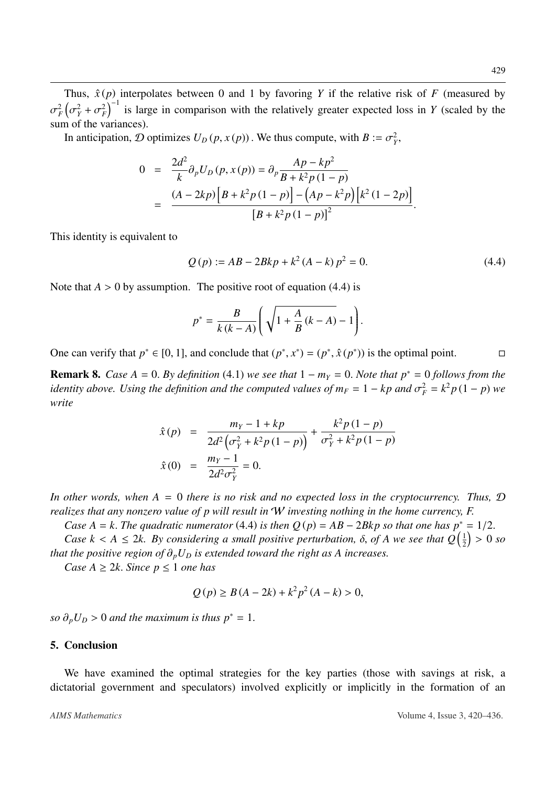Thus,  $\hat{x}(p)$  interpolates between 0 and 1 by favoring *Y* if the relative risk of *F* (measured by sum of the variances).  $\frac{2}{F}(\sigma_Y^2 + \sigma_F^2)^{-1}$  is large in comparison with the relatively greater expected loss in *Y* (scaled by the

In anticipation, *D* optimizes  $U_D(p, x(p))$ . We thus compute, with  $B := \sigma_Y^2$ ,

$$
0 = \frac{2d^2}{k} \partial_p U_D(p, x(p)) = \partial_p \frac{Ap - kp^2}{B + k^2 p (1 - p)}
$$
  
= 
$$
\frac{(A - 2kp) [B + k^2 p (1 - p)] - (Ap - k^2 p) [k^2 (1 - 2p)]}{[B + k^2 p (1 - p)]^2}.
$$

This identity is equivalent to

<span id="page-11-0"></span>
$$
Q(p) := AB - 2Bkp + k^2 (A - k) p^2 = 0.
$$
 (4.4)

Note that  $A > 0$  by assumption. The positive root of equation [\(4](#page-11-0).4) is

$$
p^* = \frac{B}{k(k-A)} \left( \sqrt{1 + \frac{A}{B}(k-A)} - 1 \right).
$$

One can verify that  $p^* \in [0, 1]$ , and conclude that  $(p^*, x^*) = (p^*, \hat{x}(p^*))$  is the optimal point. □

**Remark 8.** *Case A* = 0. *By definition* (4.[1\)](#page-10-1) *we see that*  $1 - m_Y = 0$ *. Note that*  $p^* = 0$  *follows from the identity above. Using the definition and the computed values of*  $m_F = 1 - kp$  *and*  $\sigma_F^2 = k^2 p (1 - p)$  *we*<br>*write write*

$$
\hat{x}(p) = \frac{m_Y - 1 + kp}{2d^2(\sigma_Y^2 + k^2p(1-p))} + \frac{k^2p(1-p)}{\sigma_Y^2 + k^2p(1-p)}
$$
  

$$
\hat{x}(0) = \frac{m_Y - 1}{2d^2\sigma_Y^2} = 0.
$$

*In other words, when A* = 0 *there is no risk and no expected loss in the cryptocurrency. Thus,* D *realizes that any nonzero value of p will result in* W *investing nothing in the home currency, F.*

*Case A* = *k*. *The quadratic numerator* [\(4](#page-11-0).4) *is then*  $Q(p) = AB - 2Bkp$  *so that one has*  $p^* = 1/2$ .

*Case k* < *A*  $\leq$  2*k.* By considering a small positive perturbation,  $\delta$ , of *A* we see that  $Q\left(\frac{1}{2}\right)$  the positive region of  $\delta$ . *U*, is extended toward the right as *A* increases.  $\frac{1}{2}$  > 0 *so that the positive region of*  $\partial_p U_D$  *is extended toward the right as A increases.* 

*Case*  $A \geq 2k$ *. Since*  $p \leq 1$  *one has* 

$$
Q(p) \ge B(A - 2k) + k^2 p^2 (A - k) > 0,
$$

*so*  $\partial_p U_D > 0$  *and the maximum is thus*  $p^* = 1$ .

#### 5. Conclusion

We have examined the optimal strategies for the key parties (those with savings at risk, a dictatorial government and speculators) involved explicitly or implicitly in the formation of an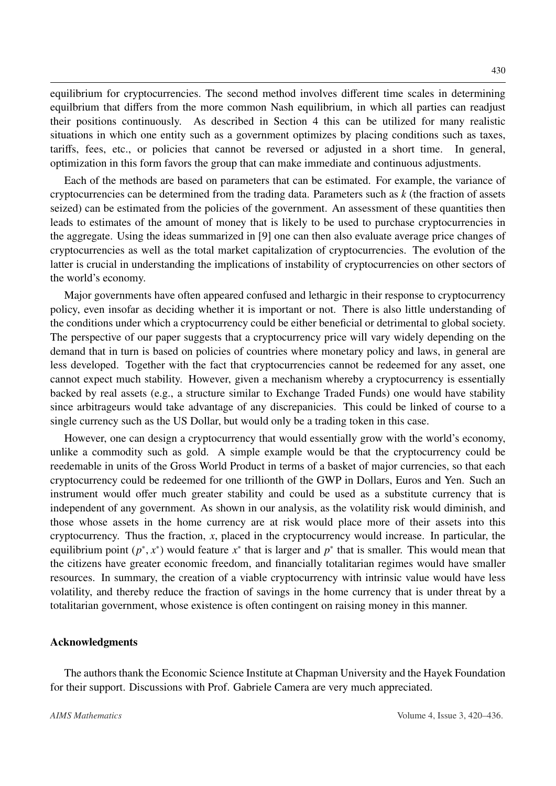equilibrium for cryptocurrencies. The second method involves different time scales in determining equilbrium that differs from the more common Nash equilibrium, in which all parties can readjust their positions continuously. As described in Section 4 this can be utilized for many realistic situations in which one entity such as a government optimizes by placing conditions such as taxes, tariffs, fees, etc., or policies that cannot be reversed or adjusted in a short time. In general, optimization in this form favors the group that can make immediate and continuous adjustments.

Each of the methods are based on parameters that can be estimated. For example, the variance of cryptocurrencies can be determined from the trading data. Parameters such as *k* (the fraction of assets seized) can be estimated from the policies of the government. An assessment of these quantities then leads to estimates of the amount of money that is likely to be used to purchase cryptocurrencies in the aggregate. Using the ideas summarized in [\[9\]](#page-13-3) one can then also evaluate average price changes of cryptocurrencies as well as the total market capitalization of cryptocurrencies. The evolution of the latter is crucial in understanding the implications of instability of cryptocurrencies on other sectors of the world's economy.

Major governments have often appeared confused and lethargic in their response to cryptocurrency policy, even insofar as deciding whether it is important or not. There is also little understanding of the conditions under which a cryptocurrency could be either beneficial or detrimental to global society. The perspective of our paper suggests that a cryptocurrency price will vary widely depending on the demand that in turn is based on policies of countries where monetary policy and laws, in general are less developed. Together with the fact that cryptocurrencies cannot be redeemed for any asset, one cannot expect much stability. However, given a mechanism whereby a cryptocurrency is essentially backed by real assets (e.g., a structure similar to Exchange Traded Funds) one would have stability since arbitrageurs would take advantage of any discrepanicies. This could be linked of course to a single currency such as the US Dollar, but would only be a trading token in this case.

However, one can design a cryptocurrency that would essentially grow with the world's economy, unlike a commodity such as gold. A simple example would be that the cryptocurrency could be reedemable in units of the Gross World Product in terms of a basket of major currencies, so that each cryptocurrency could be redeemed for one trillionth of the GWP in Dollars, Euros and Yen. Such an instrument would offer much greater stability and could be used as a substitute currency that is independent of any government. As shown in our analysis, as the volatility risk would diminish, and those whose assets in the home currency are at risk would place more of their assets into this cryptocurrency. Thus the fraction, *<sup>x</sup>*, placed in the cryptocurrency would increase. In particular, the equilibrium point  $(p^*, x^*)$  would feature  $x^*$  that is larger and  $p^*$  that is smaller. This would mean that the citizens have greater economic freedom, and financially totalitarian regimes would have smaller the citizens have greater economic freedom, and financially totalitarian regimes would have smaller resources. In summary, the creation of a viable cryptocurrency with intrinsic value would have less volatility, and thereby reduce the fraction of savings in the home currency that is under threat by a totalitarian government, whose existence is often contingent on raising money in this manner.

#### Acknowledgments

The authors thank the Economic Science Institute at Chapman University and the Hayek Foundation for their support. Discussions with Prof. Gabriele Camera are very much appreciated.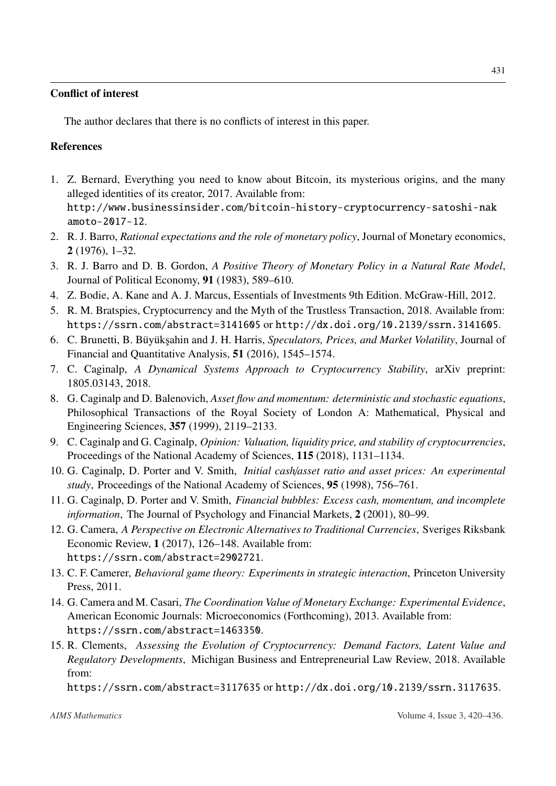#### Conflict of interest

The author declares that there is no conflicts of interest in this paper.

### References

- <span id="page-13-0"></span>1. Z. Bernard, Everything you need to know about Bitcoin, its mysterious origins, and the many alleged identities of its creator, 2017. Available from: [http://www.businessinsider.com/bitcoin-history-cryptocurrency-satoshi-nak](http://www.businessinsider.com/bitcoin-history-cryptocurrency-satoshi-nakamoto-2017-12) [amoto-2017-12](http://www.businessinsider.com/bitcoin-history-cryptocurrency-satoshi-nakamoto-2017-12).
- <span id="page-13-4"></span>2. R. J. Barro, *Rational expectations and the role of monetary policy*, Journal of Monetary economics, 2 (1976), 1–32.
- <span id="page-13-5"></span>3. R. J. Barro and D. B. Gordon, *A Positive Theory of Monetary Policy in a Natural Rate Model*, Journal of Political Economy, 91 (1983), 589–610.
- <span id="page-13-1"></span>4. Z. Bodie, A. Kane and A. J. Marcus, Essentials of Investments 9th Edition. McGraw-Hill, 2012.
- <span id="page-13-7"></span>5. R. M. Bratspies, Cryptocurrency and the Myth of the Trustless Transaction, 2018. Available from: <https://ssrn.com/abstract=3141605> or <http://dx.doi.org/10.2139/ssrn.3141605>.
- <span id="page-13-14"></span>6. C. Brunetti, B. Büyükşahin and J. H. Harris, Speculators, Prices, and Market Volatility, Journal of Financial and Quantitative Analysis, 51 (2016), 1545–1574.
- <span id="page-13-8"></span>7. C. Caginalp, *A Dynamical Systems Approach to Cryptocurrency Stability*, arXiv preprint: 1805.03143, 2018.
- <span id="page-13-11"></span>8. G. Caginalp and D. Balenovich, *Asset flow and momentum: deterministic and stochastic equations*, Philosophical Transactions of the Royal Society of London A: Mathematical, Physical and Engineering Sciences, 357 (1999), 2119–2133.
- <span id="page-13-3"></span>9. C. Caginalp and G. Caginalp, *Opinion: Valuation, liquidity price, and stability of cryptocurrencies*, Proceedings of the National Academy of Sciences, 115 (2018), 1131–1134.
- <span id="page-13-12"></span>10. G. Caginalp, D. Porter and V. Smith, *Initial cash*/*asset ratio and asset prices: An experimental study*, Proceedings of the National Academy of Sciences, 95 (1998), 756–761.
- <span id="page-13-13"></span>11. G. Caginalp, D. Porter and V. Smith, *Financial bubbles: Excess cash, momentum, and incomplete information*, The Journal of Psychology and Financial Markets, 2 (2001), 80–99.
- <span id="page-13-9"></span>12. G. Camera, *A Perspective on Electronic Alternatives to Traditional Currencies*, Sveriges Riksbank Economic Review, 1 (2017), 126–148. Available from: <https://ssrn.com/abstract=2902721>.
- <span id="page-13-2"></span>13. C. F. Camerer, *Behavioral game theory: Experiments in strategic interaction*, Princeton University Press, 2011.
- <span id="page-13-10"></span>14. G. Camera and M. Casari, *The Coordination Value of Monetary Exchange: Experimental Evidence*, American Economic Journals: Microeconomics (Forthcoming), 2013. Available from: <https://ssrn.com/abstract=1463350>.
- <span id="page-13-6"></span>15. R. Clements, *Assessing the Evolution of Cryptocurrency: Demand Factors, Latent Value and Regulatory Developments*, Michigan Business and Entrepreneurial Law Review, 2018. Available from:

<https://ssrn.com/abstract=3117635> or <http://dx.doi.org/10.2139/ssrn.3117635>.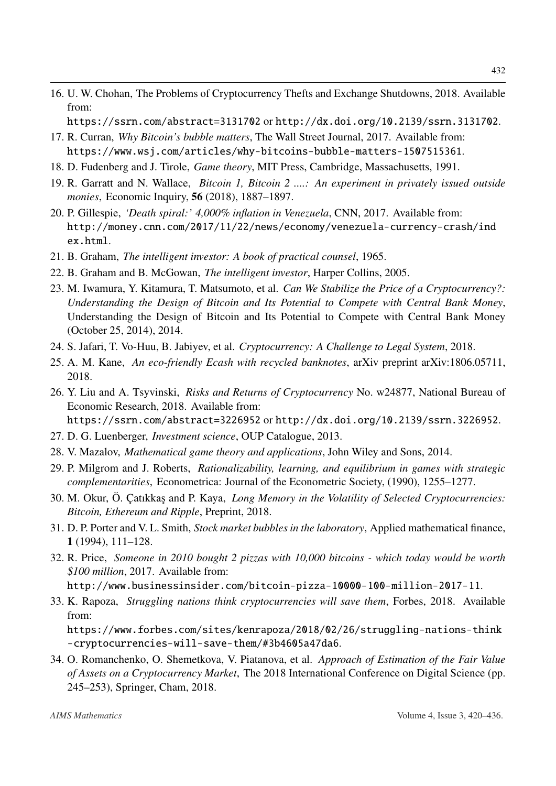<span id="page-14-11"></span>16. U. W. Chohan, The Problems of Cryptocurrency Thefts and Exchange Shutdowns, 2018. Available from:

<https://ssrn.com/abstract=3131702> or <http://dx.doi.org/10.2139/ssrn.3131702>.

- <span id="page-14-0"></span>17. R. Curran, *Why Bitcoin's bubble matters*, The Wall Street Journal, 2017. Available from: <https://www.wsj.com/articles/why-bitcoins-bubble-matters-1507515361>.
- <span id="page-14-7"></span>18. D. Fudenberg and J. Tirole, *Game theory*, MIT Press, Cambridge, Massachusetts, 1991.
- <span id="page-14-15"></span>19. R. Garratt and N. Wallace, *Bitcoin 1, Bitcoin 2 ....: An experiment in privately issued outside monies*, Economic Inquiry, 56 (2018), 1887–1897.
- <span id="page-14-6"></span>20. P. Gillespie, *'Death spiral:' 4,000% inflation in Venezuela*, CNN, 2017. Available from: [http://money.cnn.com/2017/11/22/news/economy/venezuela-currency-crash/ind](http://money.cnn.com/2017/11/22/ news/economy/venezuela-currency-crash/index.html) [ex.html](http://money.cnn.com/2017/11/22/ news/economy/venezuela-currency-crash/index.html).
- <span id="page-14-2"></span>21. B. Graham, *The intelligent investor: A book of practical counsel*, 1965.
- <span id="page-14-3"></span>22. B. Graham and B. McGowan, *The intelligent investor*, Harper Collins, 2005.
- <span id="page-14-12"></span>23. M. Iwamura, Y. Kitamura, T. Matsumoto, et al. *Can We Stabilize the Price of a Cryptocurrency?: Understanding the Design of Bitcoin and Its Potential to Compete with Central Bank Money*, Understanding the Design of Bitcoin and Its Potential to Compete with Central Bank Money (October 25, 2014), 2014.
- <span id="page-14-10"></span>24. S. Jafari, T. Vo-Huu, B. Jabiyev, et al. *Cryptocurrency: A Challenge to Legal System*, 2018.
- 25. A. M. Kane, *An eco-friendly Ecash with recycled banknotes*, arXiv preprint arXiv:1806.05711, 2018.
- <span id="page-14-13"></span>26. Y. Liu and A. Tsyvinski, *Risks and Returns of Cryptocurrency* No. w24877, National Bureau of Economic Research, 2018. Available from:
	- <https://ssrn.com/abstract=3226952> or <http://dx.doi.org/10.2139/ssrn.3226952>.
- <span id="page-14-4"></span>27. D. G. Luenberger, *Investment science*, OUP Catalogue, 2013.
- <span id="page-14-8"></span>28. V. Mazalov, *Mathematical game theory and applications*, John Wiley and Sons, 2014.
- <span id="page-14-9"></span>29. P. Milgrom and J. Roberts, *Rationalizability, learning, and equilibrium in games with strategic complementarities*, Econometrica: Journal of the Econometric Society, (1990), 1255–1277.
- <span id="page-14-14"></span>30. M. Okur, Ö. Çatıkkaş and P. Kaya, *Long Memory in the Volatility of Selected Cryptocurrencies: Bitcoin, Ethereum and Ripple*, Preprint, 2018.
- <span id="page-14-16"></span>31. D. P. Porter and V. L. Smith, *Stock market bubbles in the laboratory*, Applied mathematical finance, 1 (1994), 111–128.
- <span id="page-14-1"></span>32. R. Price, *Someone in 2010 bought 2 pizzas with 10,000 bitcoins - which today would be worth \$100 million*, 2017. Available from:

<http://www.businessinsider.com/bitcoin-pizza-10000-100-million-2017-11>.

<span id="page-14-5"></span>33. K. Rapoza, *Struggling nations think cryptocurrencies will save them*, Forbes, 2018. Available from:

[https://www.forbes.com/sites/kenrapoza/2018/02/26/struggling-nations-think](https://www.forbes.com/sites/kenrapoza/2018/02/26/struggling-nations-think-cryptocurrencies-will-save-them/#3b4605a47da6) [-cryptocurrencies-will-save-them/#3b4605a47da6](https://www.forbes.com/sites/kenrapoza/2018/02/26/struggling-nations-think-cryptocurrencies-will-save-them/#3b4605a47da6).

34. O. Romanchenko, O. Shemetkova, V. Piatanova, et al. *Approach of Estimation of the Fair Value of Assets on a Cryptocurrency Market*, The 2018 International Conference on Digital Science (pp. 245–253), Springer, Cham, 2018.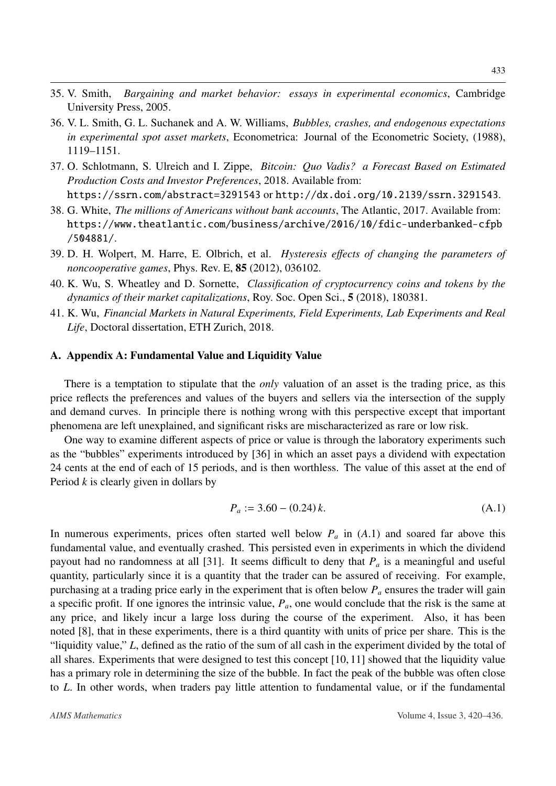- <span id="page-15-2"></span>35. V. Smith, *Bargaining and market behavior: essays in experimental economics*, Cambridge University Press, 2005.
- <span id="page-15-3"></span>36. V. L. Smith, G. L. Suchanek and A. W. Williams, *Bubbles, crashes, and endogenous expectations in experimental spot asset markets*, Econometrica: Journal of the Econometric Society, (1988), 1119–1151.
- 37. O. Schlotmann, S. Ulreich and I. Zippe, *Bitcoin: Quo Vadis? a Forecast Based on Estimated Production Costs and Investor Preferences*, 2018. Available from: <https://ssrn.com/abstract=3291543> or <http://dx.doi.org/10.2139/ssrn.3291543>.
- <span id="page-15-1"></span>38. G. White, *The millions of Americans without bank accounts*, The Atlantic, 2017. Available from: [https://www.theatlantic.com/business/archive/2016/10/fdic-underbanked-cfpb](https://www.theatlantic.com/business/archive/2016/10/fdic-underbanked-cfpb/504881/) [/504881/](https://www.theatlantic.com/business/archive/2016/10/fdic-underbanked-cfpb/504881/).
- <span id="page-15-0"></span>39. D. H. Wolpert, M. Harre, E. Olbrich, et al. *Hysteresis e*ff*ects of changing the parameters of noncooperative games*, Phys. Rev. E, 85 (2012), 036102.
- 40. K. Wu, S. Wheatley and D. Sornette, *Classification of cryptocurrency coins and tokens by the dynamics of their market capitalizations*, Roy. Soc. Open Sci., 5 (2018), 180381.
- 41. K. Wu, *Financial Markets in Natural Experiments, Field Experiments, Lab Experiments and Real Life*, Doctoral dissertation, ETH Zurich, 2018.

#### A. Appendix A: Fundamental Value and Liquidity Value

There is a temptation to stipulate that the *only* valuation of an asset is the trading price, as this price reflects the preferences and values of the buyers and sellers via the intersection of the supply and demand curves. In principle there is nothing wrong with this perspective except that important phenomena are left unexplained, and significant risks are mischaracterized as rare or low risk.

One way to examine different aspects of price or value is through the laboratory experiments such as the "bubbles" experiments introduced by [\[36\]](#page-15-3) in which an asset pays a dividend with expectation 24 cents at the end of each of 15 periods, and is then worthless. The value of this asset at the end of Period *k* is clearly given in dollars by

<span id="page-15-4"></span>
$$
P_a := 3.60 - (0.24) k. \tag{A.1}
$$

In numerous experiments, prices often started well below *<sup>P</sup><sup>a</sup>* in (*[A](#page-15-4)*.1) and soared far above this fundamental value, and eventually crashed. This persisted even in experiments in which the dividend payout had no randomness at all [\[31\]](#page-14-16). It seems difficult to deny that *P<sup>a</sup>* is a meaningful and useful quantity, particularly since it is a quantity that the trader can be assured of receiving. For example, purchasing at a trading price early in the experiment that is often below *P<sup>a</sup>* ensures the trader will gain a specific profit. If one ignores the intrinsic value, *Pa*, one would conclude that the risk is the same at any price, and likely incur a large loss during the course of the experiment. Also, it has been noted [\[8\]](#page-13-11), that in these experiments, there is a third quantity with units of price per share. This is the "liquidity value," *<sup>L</sup>*, defined as the ratio of the sum of all cash in the experiment divided by the total of all shares. Experiments that were designed to test this concept [\[10,](#page-13-12) [11\]](#page-13-13) showed that the liquidity value has a primary role in determining the size of the bubble. In fact the peak of the bubble was often close to *<sup>L</sup>*. In other words, when traders pay little attention to fundamental value, or if the fundamental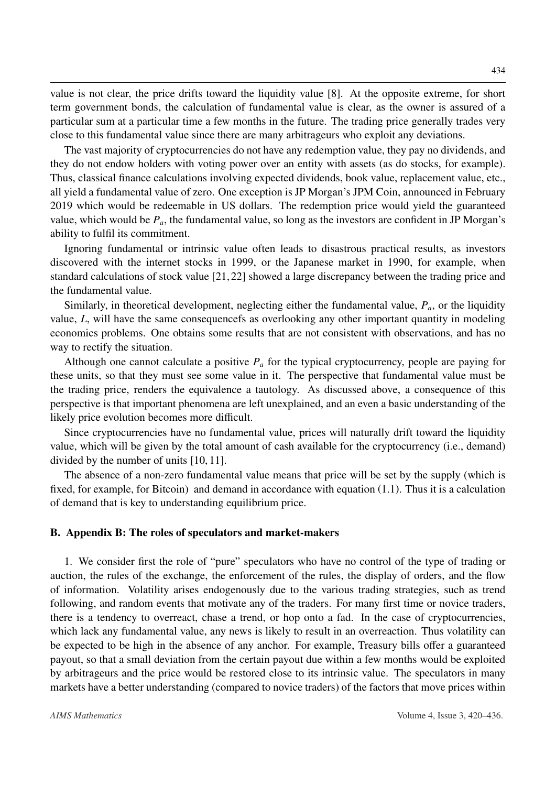value is not clear, the price drifts toward the liquidity value [\[8\]](#page-13-11). At the opposite extreme, for short term government bonds, the calculation of fundamental value is clear, as the owner is assured of a particular sum at a particular time a few months in the future. The trading price generally trades very close to this fundamental value since there are many arbitrageurs who exploit any deviations.

The vast majority of cryptocurrencies do not have any redemption value, they pay no dividends, and they do not endow holders with voting power over an entity with assets (as do stocks, for example). Thus, classical finance calculations involving expected dividends, book value, replacement value, etc., all yield a fundamental value of zero. One exception is JP Morgan's JPM Coin, announced in February 2019 which would be redeemable in US dollars. The redemption price would yield the guaranteed value, which would be *Pa*, the fundamental value, so long as the investors are confident in JP Morgan's ability to fulfil its commitment.

Ignoring fundamental or intrinsic value often leads to disastrous practical results, as investors discovered with the internet stocks in 1999, or the Japanese market in 1990, for example, when standard calculations of stock value [\[21,](#page-14-2)[22\]](#page-14-3) showed a large discrepancy between the trading price and the fundamental value.

Similarly, in theoretical development, neglecting either the fundamental value,  $P_a$ , or the liquidity value, *<sup>L</sup>*, will have the same consequencefs as overlooking any other important quantity in modeling economics problems. One obtains some results that are not consistent with observations, and has no way to rectify the situation.

Although one cannot calculate a positive  $P_a$  for the typical cryptocurrency, people are paying for these units, so that they must see some value in it. The perspective that fundamental value must be the trading price, renders the equivalence a tautology. As discussed above, a consequence of this perspective is that important phenomena are left unexplained, and an even a basic understanding of the likely price evolution becomes more difficult.

Since cryptocurrencies have no fundamental value, prices will naturally drift toward the liquidity value, which will be given by the total amount of cash available for the cryptocurrency (i.e., demand) divided by the number of units [\[10,](#page-13-12) [11\]](#page-13-13).

The absence of a non-zero fundamental value means that price will be set by the supply (which is fixed, for example, for Bitcoin) and demand in accordance with equation (1.[1\)](#page-4-2). Thus it is a calculation of demand that is key to understanding equilibrium price.

#### B. Appendix B: The roles of speculators and market-makers

1. We consider first the role of "pure" speculators who have no control of the type of trading or auction, the rules of the exchange, the enforcement of the rules, the display of orders, and the flow of information. Volatility arises endogenously due to the various trading strategies, such as trend following, and random events that motivate any of the traders. For many first time or novice traders, there is a tendency to overreact, chase a trend, or hop onto a fad. In the case of cryptocurrencies, which lack any fundamental value, any news is likely to result in an overreaction. Thus volatility can be expected to be high in the absence of any anchor. For example, Treasury bills offer a guaranteed payout, so that a small deviation from the certain payout due within a few months would be exploited by arbitrageurs and the price would be restored close to its intrinsic value. The speculators in many markets have a better understanding (compared to novice traders) of the factors that move prices within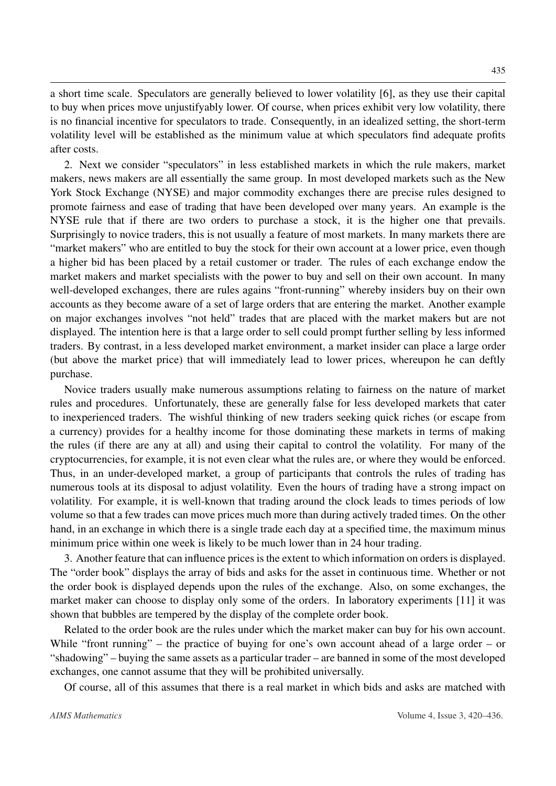a short time scale. Speculators are generally believed to lower volatility [\[6\]](#page-13-14), as they use their capital to buy when prices move unjustifyably lower. Of course, when prices exhibit very low volatility, there is no financial incentive for speculators to trade. Consequently, in an idealized setting, the short-term volatility level will be established as the minimum value at which speculators find adequate profits after costs.

2. Next we consider "speculators" in less established markets in which the rule makers, market makers, news makers are all essentially the same group. In most developed markets such as the New York Stock Exchange (NYSE) and major commodity exchanges there are precise rules designed to promote fairness and ease of trading that have been developed over many years. An example is the NYSE rule that if there are two orders to purchase a stock, it is the higher one that prevails. Surprisingly to novice traders, this is not usually a feature of most markets. In many markets there are "market makers" who are entitled to buy the stock for their own account at a lower price, even though a higher bid has been placed by a retail customer or trader. The rules of each exchange endow the market makers and market specialists with the power to buy and sell on their own account. In many well-developed exchanges, there are rules agains "front-running" whereby insiders buy on their own accounts as they become aware of a set of large orders that are entering the market. Another example on major exchanges involves "not held" trades that are placed with the market makers but are not displayed. The intention here is that a large order to sell could prompt further selling by less informed traders. By contrast, in a less developed market environment, a market insider can place a large order (but above the market price) that will immediately lead to lower prices, whereupon he can deftly purchase.

Novice traders usually make numerous assumptions relating to fairness on the nature of market rules and procedures. Unfortunately, these are generally false for less developed markets that cater to inexperienced traders. The wishful thinking of new traders seeking quick riches (or escape from a currency) provides for a healthy income for those dominating these markets in terms of making the rules (if there are any at all) and using their capital to control the volatility. For many of the cryptocurrencies, for example, it is not even clear what the rules are, or where they would be enforced. Thus, in an under-developed market, a group of participants that controls the rules of trading has numerous tools at its disposal to adjust volatility. Even the hours of trading have a strong impact on volatility. For example, it is well-known that trading around the clock leads to times periods of low volume so that a few trades can move prices much more than during actively traded times. On the other hand, in an exchange in which there is a single trade each day at a specified time, the maximum minus minimum price within one week is likely to be much lower than in 24 hour trading.

3. Another feature that can influence prices is the extent to which information on orders is displayed. The "order book" displays the array of bids and asks for the asset in continuous time. Whether or not the order book is displayed depends upon the rules of the exchange. Also, on some exchanges, the market maker can choose to display only some of the orders. In laboratory experiments [\[11\]](#page-13-13) it was shown that bubbles are tempered by the display of the complete order book.

Related to the order book are the rules under which the market maker can buy for his own account. While "front running" – the practice of buying for one's own account ahead of a large order – or "shadowing" – buying the same assets as a particular trader – are banned in some of the most developed exchanges, one cannot assume that they will be prohibited universally.

Of course, all of this assumes that there is a real market in which bids and asks are matched with